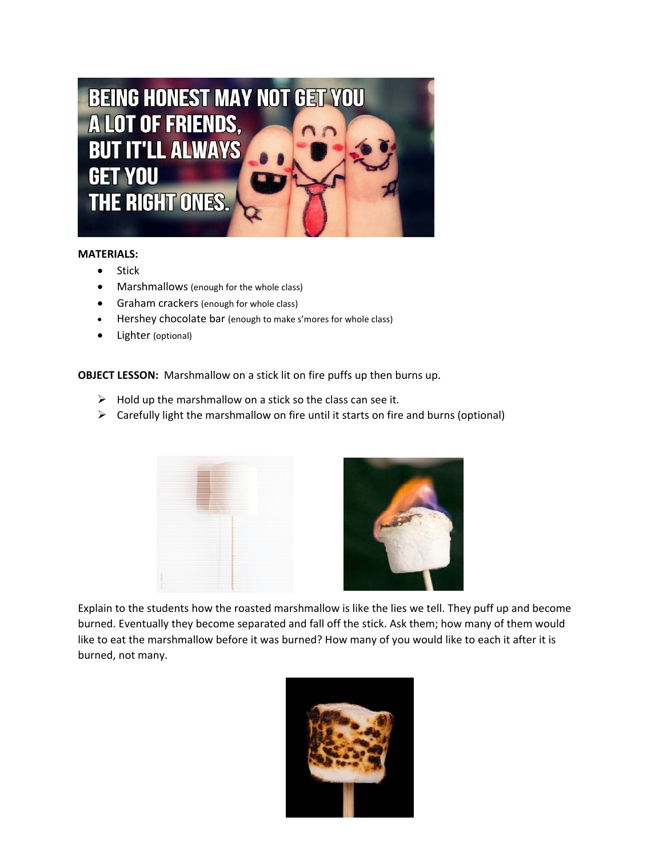

## **MATERIALS:**

- Stick
- Marshmallows (enough for the whole class)
- **Graham crackers (enough for whole class)**
- Hershey chocolate bar (enough to make s'mores for whole class)
- Lighter (optional)

**OBJECT LESSON:** Marshmallow on a stick lit on fire puffs up then burns up.

- $\triangleright$  Hold up the marshmallow on a stick so the class can see it.
- $\triangleright$  Carefully light the marshmallow on fire until it starts on fire and burns (optional)



Explain to the students how the roasted marshmallow is like the lies we tell. They puff up and become burned. Eventually they become separated and fall off the stick. Ask them; how many of them would like to eat the marshmallow before it was burned? How many of you would like to each it after it is burned, not many.